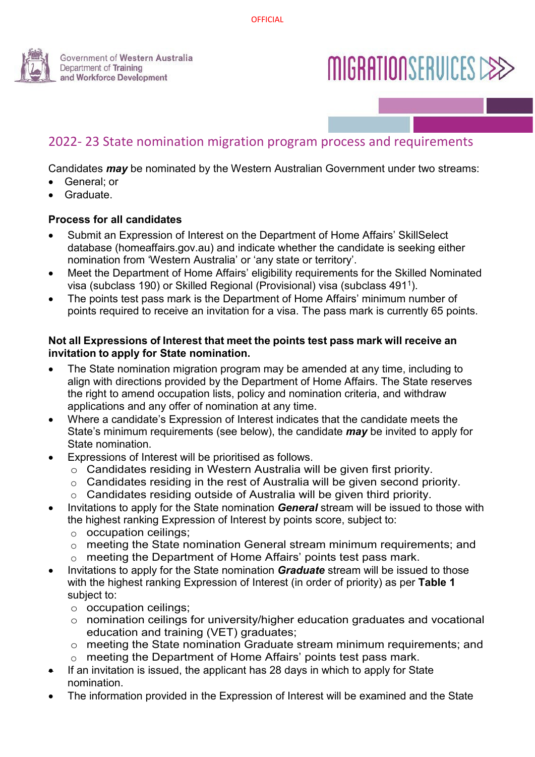

# MIGRATIONSERVICES CEE

## 2022- 23 State nomination migration program process and requirements

Candidates *may* be nominated by the Western Australian Government under two streams:

- General: or
- Graduate.

#### **Process for all candidates**

- Submit an Expression of Interest on the Department of Home Affairs' SkillSelect database [\(homeaffairs.gov.au\) a](http://www.homeaffairs.gov.au/)nd indicate whether the candidate is seeking either nomination from ʻWestern Australia' or ʻany state or territory'.
- Meet the Department of Home Affairs' eligibility requirements for the Skilled Nominated visa (subclass 190) or Skilled Regional (Provisional) visa (subclass 4911).
- The points test pass mark is the Department of Home Affairs' minimum number of points required to receive an invitation for a visa. The pass mark is currently 65 points.

#### **Not all Expressions of Interest that meet the points test pass mark will receive an invitation to apply for State nomination.**

- The State nomination migration program may be amended at any time, including to align with directions provided by the Department of Home Affairs. The State reserves the right to amend occupation lists, policy and nomination criteria, and withdraw applications and any offer of nomination at any time.
- Where a candidate's Expression of Interest indicates that the candidate meets the State's minimum requirements (see below), the candidate *may* be invited to apply for State nomination.
- Expressions of Interest will be prioritised as follows.
	- o Candidates residing in Western Australia will be given first priority.
	- o Candidates residing in the rest of Australia will be given second priority.
	- o Candidates residing outside of Australia will be given third priority.
- Invitations to apply for the State nomination *General* stream will be issued to those with the highest ranking Expression of Interest by points score, subject to:
	- $\circ$  occupation ceilings;<br> $\circ$  meeting the State no
	- meeting the State nomination General stream minimum requirements; and
	- $\circ$  meeting the Department of Home Affairs' points test pass mark.
- Invitations to apply for the State nomination *Graduate* stream will be issued to those with the highest ranking Expression of Interest (in order of priority) as per **Table 1** subject to:
	- o occupation ceilings;
	- o nomination ceilings for university/higher education graduates and vocational education and training (VET) graduates;
	- o meeting the State nomination Graduate stream minimum requirements; and
	- o meeting the Department of Home Affairs' points test pass mark.
- If an invitation is issued, the applicant has 28 days in which to apply for State nomination.
- The information provided in the Expression of Interest will be examined and the State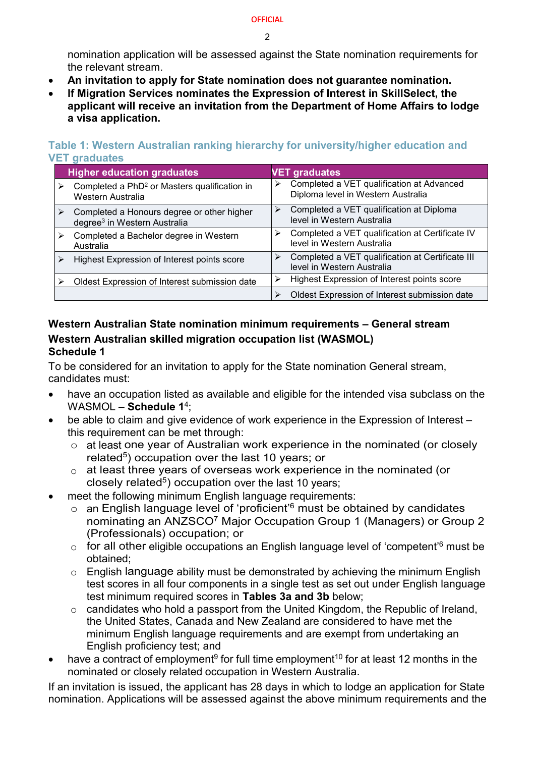#### **OFFICIAL**

 $\mathfrak{p}$ 

nomination application will be assessed against the State nomination requirements for the relevant stream.

- **An invitation to apply for State nomination does not guarantee nomination.**
- **If Migration Services nominates the Expression of Interest in SkillSelect, the applicant will receive an invitation from the Department of Home Affairs to lodge a visa application.**

**Higher education graduates VET graduates**  $\triangleright$  Completed a PhD<sup>2</sup> or Masters qualification in Western Australia  $\triangleright$  Completed a VET qualification at Advanced Diploma level in Western Australia  $\triangleright$  Completed a Honours degree or other higher degree3 in Western Australia  $\triangleright$  Completed a VET qualification at Diploma level in Western Australia  $\triangleright$  Completed a Bachelor degree in Western Australia  $\triangleright$  Completed a VET qualification at Certificate IV level in Western Australia  $\triangleright$  Highest Expression of Interest points score  $\triangleright$  Completed a VET qualification at Certificate III level in Western Australia Oldest Expression of Interest submission date  $\|\cdot\|$  Highest Expression of Interest points score Oldest Expression of Interest submission date

#### **Table 1: Western Australian ranking hierarchy for university/higher education and VET graduates**

## **Western Australian State nomination minimum requirements – General stream Western Australian skilled migration occupation list (WASMOL) Schedule 1**

To be considered for an invitation to apply for the State nomination General stream, candidates must:

- have an occupation listed as available and eligible for the intended visa subclass on the WASMOL – **Schedule 1**4;
- be able to claim and give evidence of work experience in the Expression of Interest this requirement can be met through:
	- o at least one year of Australian work experience in the nominated (or closely related<sup>5</sup>) occupation over the last 10 years; or
	- o at least three years of overseas work experience in the nominated (or closely related<sup>5</sup>) occupation over the last 10 years;
- meet the following minimum English language requirements:
	- o an English language level of 'proficient'<sup>6</sup> must be obtained by candidates nominating an ANZSCO7 Major Occupation Group 1 (Managers) or Group 2 (Professionals) occupation; or
	- $\circ$  for all other eligible occupations an English language level of 'competent'<sup>6</sup> must be obtained;
	- $\circ$  English language ability must be demonstrated by achieving the minimum English test scores in all four components in a single test as set out under English language test minimum required scores in **Tables 3a and 3b** below;
	- o candidates who hold a passport from the United Kingdom, the Republic of Ireland, the United States, Canada and New Zealand are considered to have met the minimum English language requirements and are exempt from undertaking an English proficiency test; and
- have a contract of employment<sup>9</sup> for full time employment<sup>10</sup> for at least 12 months in the nominated or closely related occupation in Western Australia.

If an invitation is issued, the applicant has 28 days in which to lodge an application for State nomination. Applications will be assessed against the above minimum requirements and the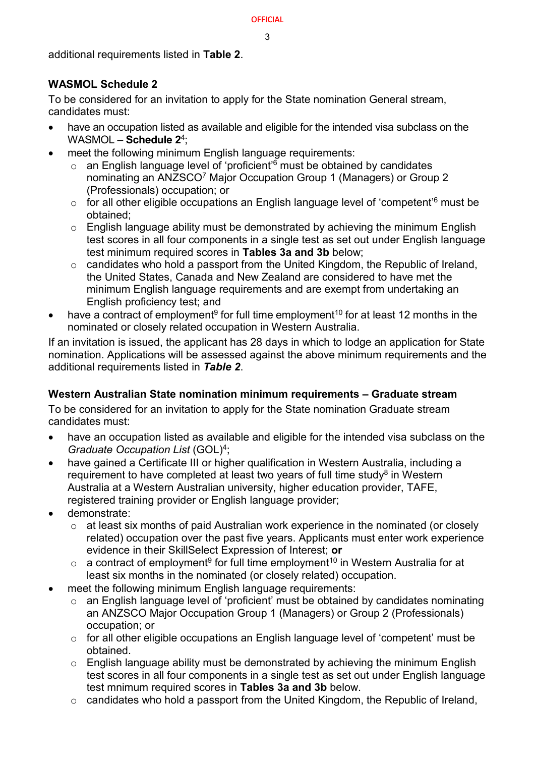#### **OFFICIAL**

3

additional requirements listed in **Table 2**.

## **WASMOL Schedule 2**

To be considered for an invitation to apply for the State nomination General stream, candidates must:

- have an occupation listed as available and eligible for the intended visa subclass on the WASMOL – **Schedule 2**4;
- meet the following minimum English language requirements:
	- o an English language level of 'proficient'<sup>6</sup> must be obtained by candidates nominating an ANZSCO7 Major Occupation Group 1 (Managers) or Group 2 (Professionals) occupation; or
	- $\circ$  for all other eligible occupations an English language level of 'competent'<sup>6</sup> must be obtained;
	- $\circ$  English language ability must be demonstrated by achieving the minimum English test scores in all four components in a single test as set out under English language test minimum required scores in **Tables 3a and 3b** below;
	- $\circ$  candidates who hold a passport from the United Kingdom, the Republic of Ireland, the United States, Canada and New Zealand are considered to have met the minimum English language requirements and are exempt from undertaking an English proficiency test; and
- have a contract of employment<sup>9</sup> for full time employment<sup>10</sup> for at least 12 months in the nominated or closely related occupation in Western Australia.

If an invitation is issued, the applicant has 28 days in which to lodge an application for State nomination. Applications will be assessed against the above minimum requirements and the additional requirements listed in *Table 2*.

## **Western Australian State nomination minimum requirements – Graduate stream**

To be considered for an invitation to apply for the State nomination Graduate stream candidates must:

- have an occupation listed as available and eligible for the intended visa subclass on the *Graduate Occupation List* (GOL)4;
- have gained a Certificate III or higher qualification in Western Australia, including a requirement to have completed at least two years of full time study<sup>8</sup> in Western Australia at a Western Australian university, higher education provider, TAFE, registered training provider or English language provider;
- demonstrate:
	- o at least six months of paid Australian work experience in the nominated (or closely related) occupation over the past five years. Applicants must enter work experience evidence in their SkillSelect Expression of Interest; **or**
	- $\circ$  a contract of employment<sup>9</sup> for full time employment<sup>10</sup> in Western Australia for at least six months in the nominated (or closely related) occupation.
- meet the following minimum English language requirements:
	- o an English language level of 'proficient' must be obtained by candidates nominating an ANZSCO Major Occupation Group 1 (Managers) or Group 2 (Professionals) occupation; or
	- o for all other eligible occupations an English language level of 'competent' must be obtained.
	- o English language ability must be demonstrated by achieving the minimum English test scores in all four components in a single test as set out under English language test mnimum required scores in **Tables 3a and 3b** below.
	- o candidates who hold a passport from the United Kingdom, the Republic of Ireland,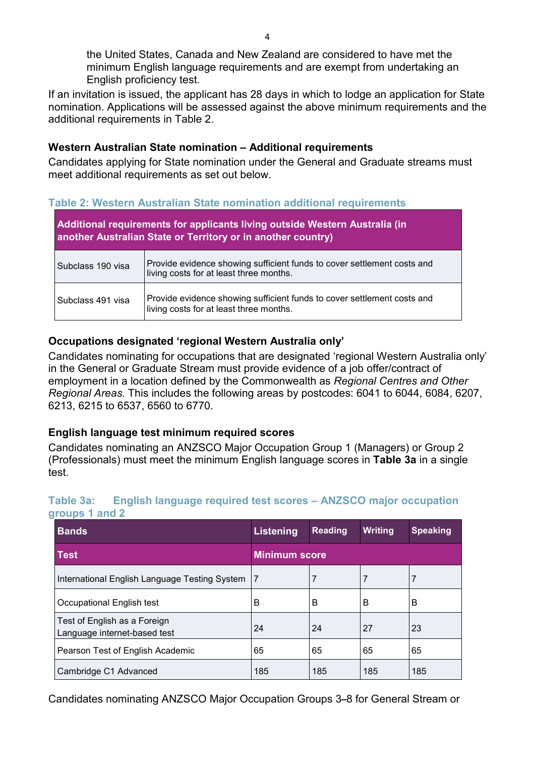the United States, Canada and New Zealand are considered to have met the minimum English language requirements and are exempt from undertaking an English proficiency test.

If an invitation is issued, the applicant has 28 days in which to lodge an application for State nomination. Applications will be assessed against the above minimum requirements and the additional requirements in Table 2.

#### **Western Australian State nomination – Additional requirements**

Candidates applying for State nomination under the General and Graduate streams must meet additional requirements as set out below.

#### **Table 2: Western Australian State nomination additional requirements**

| Additional requirements for applicants living outside Western Australia (in<br>another Australian State or Territory or in another country) |                                                                                                                    |  |
|---------------------------------------------------------------------------------------------------------------------------------------------|--------------------------------------------------------------------------------------------------------------------|--|
| Subclass 190 visa                                                                                                                           | Provide evidence showing sufficient funds to cover settlement costs and<br>living costs for at least three months. |  |
| Subclass 491 visa                                                                                                                           | Provide evidence showing sufficient funds to cover settlement costs and<br>living costs for at least three months. |  |

## **Occupations designated 'regional Western Australia only'**

Candidates nominating for occupations that are designated 'regional Western Australia only' in the General or Graduate Stream must provide evidence of a job offer/contract of employment in a location defined by the Commonwealth as *Regional Centres and Other Regional Areas.* This includes the following areas by postcodes: 6041 to 6044, 6084, 6207, 6213, 6215 to 6537, 6560 to 6770.

## **English language test minimum required scores**

Candidates nominating an ANZSCO Major Occupation Group 1 (Managers) or Group 2 (Professionals) must meet the minimum English language scores in **Table 3a** in a single test.

| groupo ranu s                                                |                      |                |         |                 |
|--------------------------------------------------------------|----------------------|----------------|---------|-----------------|
| <b>Bands</b>                                                 | Listening            | <b>Reading</b> | Writing | <b>Speaking</b> |
| <b>Test</b>                                                  | <b>Minimum score</b> |                |         |                 |
| International English Language Testing System                |                      | 7              |         |                 |
| Occupational English test                                    | B                    | B              | B       | B               |
| Test of English as a Foreign<br>Language internet-based test | 24                   | 24             | 27      | 23              |
| Pearson Test of English Academic                             | 65                   | 65             | 65      | 65              |
| Cambridge C1 Advanced                                        | 185                  | 185            | 185     | 185             |

#### **Table 3a: English language required test scores – ANZSCO major occupation groups 1 and 2**

Candidates nominating ANZSCO Major Occupation Groups 3**–**8 for General Stream or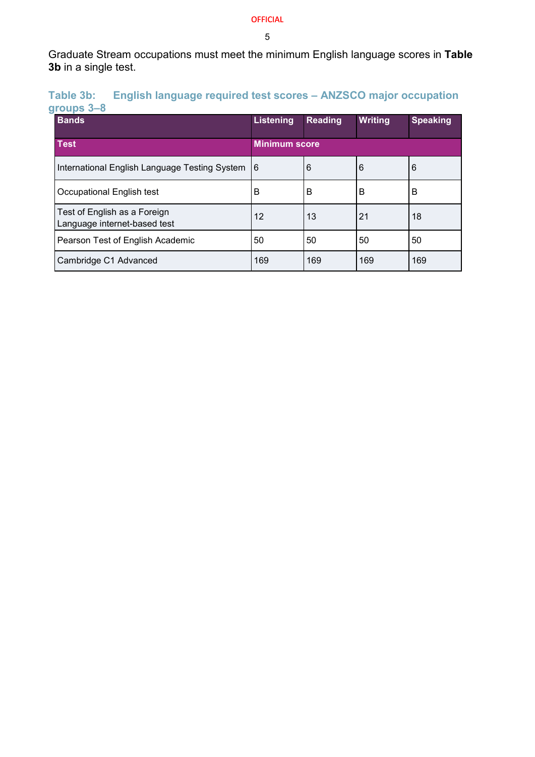#### OFFICIAL

5

Graduate Stream occupations must meet the minimum English language scores in **Table 3b** in a single test.

| Table 3b:  |  | <b>English language required test scores - ANZSCO major occupation</b> |  |
|------------|--|------------------------------------------------------------------------|--|
| groups 3-8 |  |                                                                        |  |

| <b>Bands</b>                                                 | Listening            | <b>Reading</b> | <b>Writing</b> | <b>Speaking</b> |
|--------------------------------------------------------------|----------------------|----------------|----------------|-----------------|
| <b>Test</b>                                                  | <b>Minimum score</b> |                |                |                 |
| International English Language Testing System                | 16                   | 6              | 6              | 6               |
| Occupational English test                                    | B                    | B              | B              | B               |
| Test of English as a Foreign<br>Language internet-based test | 12                   | 13             | 21             | 18              |
| Pearson Test of English Academic                             | 50                   | 50             | 50             | 50              |
| Cambridge C1 Advanced                                        | 169                  | 169            | 169            | 169             |